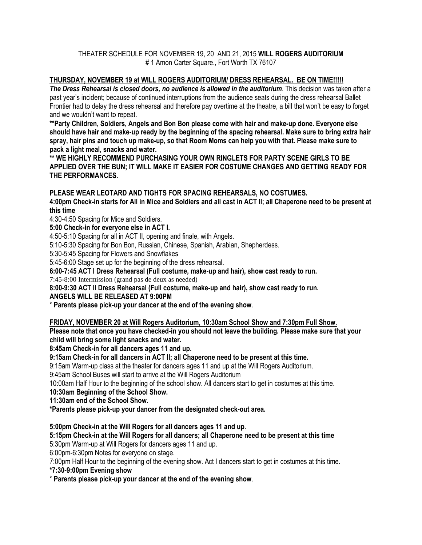#### THEATER SCHEDULE FOR NOVEMBER 19, 20 AND 21, 2015 **WILL ROGERS AUDITORIUM** # 1 Amon Carter Square., Fort Worth TX 76107

# **THURSDAY, NOVEMBER 19 at WILL ROGERS AUDITORIUM/ DRESS REHEARSAL. BE ON TIME!!!!!**

*The Dress Rehearsal is closed doors, no audience is allowed in the auditorium*. This decision was taken after a past year's incident; because of continued interruptions from the audience seats during the dress rehearsal Ballet Frontier had to delay the dress rehearsal and therefore pay overtime at the theatre, a bill that won't be easy to forget and we wouldn't want to repeat.

**\*\*Party Children, Soldiers, Angels and Bon Bon please come with hair and make-up done. Everyone else should have hair and make-up ready by the beginning of the spacing rehearsal. Make sure to bring extra hair spray, hair pins and touch up make-up, so that Room Moms can help you with that. Please make sure to pack a light meal, snacks and water.**

**\*\* WE HIGHLY RECOMMEND PURCHASING YOUR OWN RINGLETS FOR PARTY SCENE GIRLS TO BE APPLIED OVER THE BUN; IT WILL MAKE IT EASIER FOR COSTUME CHANGES AND GETTING READY FOR THE PERFORMANCES.**

## **PLEASE WEAR LEOTARD AND TIGHTS FOR SPACING REHEARSALS, NO COSTUMES.**

**4:00pm Check-in starts for All in Mice and Soldiers and all cast in ACT II; all Chaperone need to be present at this time**

4:30-4:50 Spacing for Mice and Soldiers.

**5:00 Check-in for everyone else in ACT I.**

4:50-5:10 Spacing for all in ACT II, opening and finale, with Angels.

5:10-5:30 Spacing for Bon Bon, Russian, Chinese, Spanish, Arabian, Shepherdess.

5:30-5:45 Spacing for Flowers and Snowflakes

5:45-6:00 Stage set up for the beginning of the dress rehearsal.

**6:00-7:45 ACT I Dress Rehearsal (Full costume, make-up and hair), show cast ready to run.** 

7:45-8:00 Intermission (grand pas de deux as needed)

**8:00-9:30 ACT II Dress Rehearsal (Full costume, make-up and hair), show cast ready to run.**

**ANGELS WILL BE RELEASED AT 9:00PM**

\* **Parents please pick-up your dancer at the end of the evening show**.

#### **FRIDAY, NOVEMBER 20 at Will Rogers Auditorium, 10:30am School Show and 7:30pm Full Show.**

**Please note that once you have checked-in you should not leave the building. Please make sure that your child will bring some light snacks and water.**

**8:45am Check-in for all dancers ages 11 and up.**

**9:15am Check-in for all dancers in ACT II; all Chaperone need to be present at this time.** 

9:15am Warm-up class at the theater for dancers ages 11 and up at the Will Rogers Auditorium.

9:45am School Buses will start to arrive at the Will Rogers Auditorium

10:00am Half Hour to the beginning of the school show. All dancers start to get in costumes at this time.

**10:30am Beginning of the School Show.**

**11:30am end of the School Show.**

**\*Parents please pick-up your dancer from the designated check-out area.**

**5:00pm Check-in at the Will Rogers for all dancers ages 11 and up**.

### **5:15pm Check-in at the Will Rogers for all dancers; all Chaperone need to be present at this time**

5:30pm Warm-up at Will Rogers for dancers ages 11 and up.

6:00pm-6:30pm Notes for everyone on stage.

7:00pm Half Hour to the beginning of the evening show. Act I dancers start to get in costumes at this time.

**\*7:30-9:00pm Evening show**

\* **Parents please pick-up your dancer at the end of the evening show**.